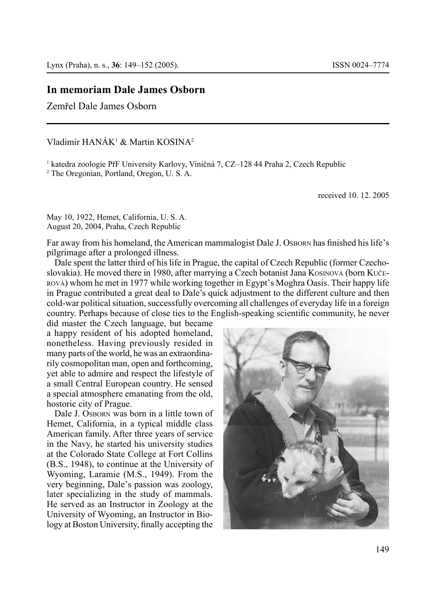Zemřel Dale James Osborn

## Vladimír HANÁK<sup>1</sup> & Martin KOSINA<sup>2</sup>

1 katedra zoologie PřF University Karlovy, Viničná 7, CZ–128 44 Praha 2, Czech Republic

2 The Oregonian, Portland, Oregon, U. S. A.

received 10. 12. 2005

May 10, 1922, Hemet, California, U. S. A. August 20, 2004, Praha, Czech Republic

Far away from his homeland, the American mammalogist Dale J. OSBORN has finished his life's pilgrimage after a prolonged illness.

Dale spent the latter third of his life in Prague, the capital of Czech Republic (former Czechoslovakia). He moved there in 1980, after marrying a Czech botanist Jana Kosnová (born Kuče-ROVÁ) whom he met in 1977 while working together in Egypt's Moghra Oasis. Their happy life in Prague contributed a great deal to Dale's quick adjustment to the different culture and then cold-war political situation, successfully overcoming all challenges of everyday life in a foreign country. Perhaps because of close ties to the English-speaking scientific community, he never

did master the Czech language, but became a happy resident of his adopted homeland, nonetheless. Having previously resided in many parts of the world, he was an extraordinarily cosmopolitan man, open and forthcoming, yet able to admire and respect the lifestyle of a small Central European country. He sensed a special atmosphere emanating from the old, hostoric city of Prague.

Dale J. OSBORN was born in a little town of Hemet, California, in a typical middle class American family. After three years of service in the Navy, he started his university studies at the Colorado State College at Fort Collins (B.S., 1948), to continue at the University of Wyoming, Laramie (M.S., 1949). From the very beginning, Dale's passion was zoology, later specializing in the study of mammals. He served as an Instructor in Zoology at the University of Wyoming, an Instructor in Biology at Boston University, finally accepting the

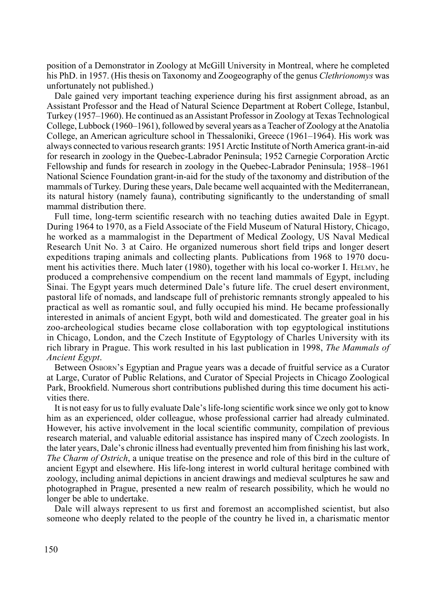position of a Demonstrator in Zoology at McGill University in Montreal, where he completed his PhD. in 1957. (His thesis on Taxonomy and Zoogeography of the genus *Clethrionomys* was unfortunately not published.)

Dale gained very important teaching experience during his first assignment abroad, as an Assistant Professor and the Head of Natural Science Department at Robert College, Istanbul, Turkey (1957–1960). He continued as an Assistant Professor in Zoology at Texas Technological College, Lubbock (1960–1961), followed by several years as a Teacher of Zoology at the Anatolia College, an American agriculture school in Thessaloniki, Greece (1961–1964). His work was always connected to various research grants: 1951 Arctic Institute of North America grant-in-aid for research in zoology in the Quebec-Labrador Peninsula; 1952 Carnegie Corporation Arctic Fellowship and funds for research in zoology in the Quebec-Labrador Peninsula; 1958–1961 National Science Foundation grant-in-aid for the study of the taxonomy and distribution of the mammals of Turkey. During these years, Dale became well acquainted with the Mediterranean, its natural history (namely fauna), contributing significantly to the understanding of small mammal distribution there.

Full time, long-term scientific research with no teaching duties awaited Dale in Egypt. During 1964 to 1970, as a Field Associate of the Field Museum of Natural History, Chicago, he worked as a mammalogist in the Department of Medical Zoology, US Naval Medical Research Unit No. 3 at Cairo. He organized numerous short field trips and longer desert expeditions traping animals and collecting plants. Publications from 1968 to 1970 document his activities there. Much later (1980), together with his local co-worker I. HELMY, he produced a comprehensive compendium on the recent land mammals of Egypt, including Sinai. The Egypt years much determined Dale's future life. The cruel desert environment, pastoral life of nomads, and landscape full of prehistoric remnants strongly appealed to his practical as well as romantic soul, and fully occupied his mind. He became professionally interested in animals of ancient Egypt, both wild and domesticated. The greater goal in his zoo-archeological studies became close collaboration with top egyptological institutions in Chicago, London, and the Czech Institute of Egyptology of Charles University with its rich library in Prague. This work resulted in his last publication in 1998, *The Mammals of Ancient Egypt*.

Between OSBORN's Egyptian and Prague years was a decade of fruitful service as a Curator at Large, Curator of Public Relations, and Curator of Special Projects in Chicago Zoological Park, Brookfield. Numerous short contributions published during this time document his activities there.

It is not easy for us to fully evaluate Dale's life-long scientific work since we only got to know him as an experienced, older colleague, whose professional carrier had already culminated. However, his active involvement in the local scientific community, compilation of previous research material, and valuable editorial assistance has inspired many of Czech zoologists. In the later years, Dale's chronic illness had eventually prevented him from finishing his last work, *The Charm of Ostrich*, a unique treatise on the presence and role of this bird in the culture of ancient Egypt and elsewhere. His life-long interest in world cultural heritage combined with zoology, including animal depictions in ancient drawings and medieval sculptures he saw and photographed in Prague, presented a new realm of research possibility, which he would no longer be able to undertake.

Dale will always represent to us first and foremost an accomplished scientist, but also someone who deeply related to the people of the country he lived in, a charismatic mentor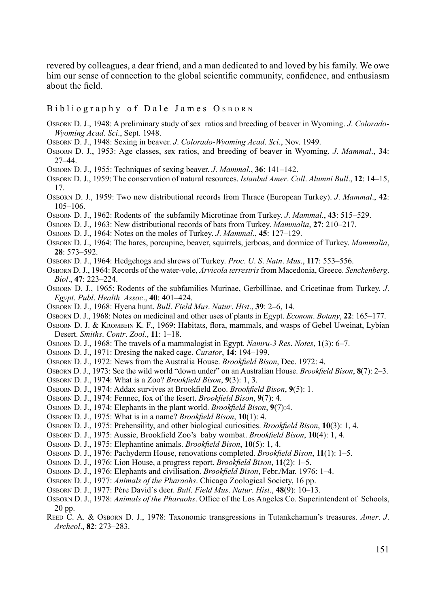revered by colleagues, a dear friend, and a man dedicated to and loved by his family. We owe him our sense of connection to the global scientific community, confidence, and enthusiasm about the field.

## Bibliography of Dale James OSBORN

- OSBORN D. J., 1948: A preliminary study of sex ratios and breeding of beaver in Wyoming. *J*. *Colorado-Wyoming Acad*. *Sci*., Sept. 1948.
- OSBORN D. J., 1948: Sexing in beaver. *J*. *Colorado-Wyoming Acad*. *Sci*., Nov. 1949.
- OSBORN D. J., 1953: Age classes, sex ratios, and breeding of beaver in Wyoming. *J*. *Mammal*., **34**: 27–44.
- OSBORN D. J., 1955: Techniques of sexing beaver. *J*. *Mammal*., **36**: 141–142.
- OSBORN D. J., 1959: The conservation of natural resources. *Istanbul Amer*. *Coll*. *Alumni Bull*., **12**: 14–15, 17.
- OSBORN D. J., 1959: Two new distributional records from Thrace (European Turkey). *J*. *Mammal*., **42**: 105–106.
- OSBORN D. J., 1962: Rodents of the subfamily Microtinae from Turkey. *J*. *Mammal*., **43**: 515–529.
- OSBORN D. J., 1963: New distributional records of bats from Turkey. *Mammalia*, **27**: 210–217.
- OSBORN D. J., 1964: Notes on the moles of Turkey. *J*. *Mammal*., **45**: 127–129.
- OSBORN D. J., 1964: The hares, porcupine, beaver, squirrels, jerboas, and dormice of Turkey. *Mammalia*, **28**: 573–592.
- OSBORN D. J., 1964: Hedgehogs and shrews of Turkey. *Proc*. *U*. *S*. *Natn*. *Mus*., **117**: 553–556.
- OSBORN D. J., 1964: Records of the water-vole, *Arvicola terrestris* from Macedonia, Greece. *Senckenberg*. *Biol*., **47**: 223–224.
- OSBORN D. J., 1965: Rodents of the subfamilies Murinae, Gerbillinae, and Cricetinae from Turkey. *J*. *Egypt*. *Publ*. *Health Assoc*., **40**: 401–424.
- OSBORN D. J., 1968: Hyena hunt. *Bull*. *Field Mus*. *Natur*. *Hist*., **39**: 2–6, 14.
- OSBORN D. J., 1968: Notes on medicinal and other uses of plants in Egypt. *Econom*. *Botany*, **22**: 165–177.
- OSBORN D. J. & KROMBEIN K. F., 1969: Habitats, flora, mammals, and wasps of Gebel Uweinat, Lybian Desert. *Smiths*. *Contr*. *Zool*., **11**: 1–18.
- OSBORN D. J., 1968: The travels of a mammalogist in Egypt. *Namru-3 Res*. *Notes*, **1**(3): 6–7.
- OSBORN D. J., 1971: Dresing the naked cage. *Curator*, **14**: 194–199.
- OSBORN D. J., 1972: News from the Australia House. *Brookfield Bison*, Dec. 1972: 4.
- OSBORN D. J., 1973: See the wild world "down under" on an Australian House. *Brookfield Bison*, **8**(7): 2–3.
- OSBORN D. J., 1974: What is a Zoo? *Brookfield Bison*, 9(3): 1, 3.
- OSBORN D. J., 1974: Addax survives at Brookfield Zoo. *Brookfield Bison*, 9(5): 1.
- OSBORN D. J., 1974: Fennec, fox of the fesert. *Brookfield Bison*, 9(7): 4.
- OSBORN D. J., 1974: Elephants in the plant world. *Brookfield Bison*, 9(7):4.
- OSBORN D. J., 1975: What is in a name? *Brookfield Bison*, **10**(1): 4.
- OSBORN D. J., 1975: Prehensility, and other biological curiosities. *Brookfield Bison*, 10(3): 1, 4.
- OSBORN D. J., 1975: Aussie, Brookfield Zoo's baby wombat. *Brookfield Bison*, 10(4): 1, 4.
- OSBORN D. J., 1975: Elephantine animals. *Brookfield Bison*, **10**(5): 1, 4.
- OSBORN D. J., 1976: Pachyderm House, renovations completed. *Brookfield Bison*, 11(1): 1–5.
- OSBORN D. J., 1976: Lion House, a progress report. *Brookfield Bison*, 11(2): 1–5.
- OSBORN D. J., 1976: Elephants and civilisation. *Brookfield Bison*, Febr./Mar. 1976: 1-4.
- OSBORN D. J., 1977: *Animals of the Pharaohs*. Chicago Zoological Society, 16 pp.
- OSBORN D. J., 1977: Pére David´s deer. *Bull*. *Field Mus*. *Natur*. *Hist*., **48**(9): 10–13.
- OSBORN D. J., 1978: *Animals of the Pharaohs*. Office of the Los Angeles Co. Superintendent of Schools, 20 pp.
- REED C. A. & OSBORN D. J., 1978: Taxonomic transgressions in Tutankchamun's treasures. *Amer*. *J*. *Archeol*., **82**: 273–283.